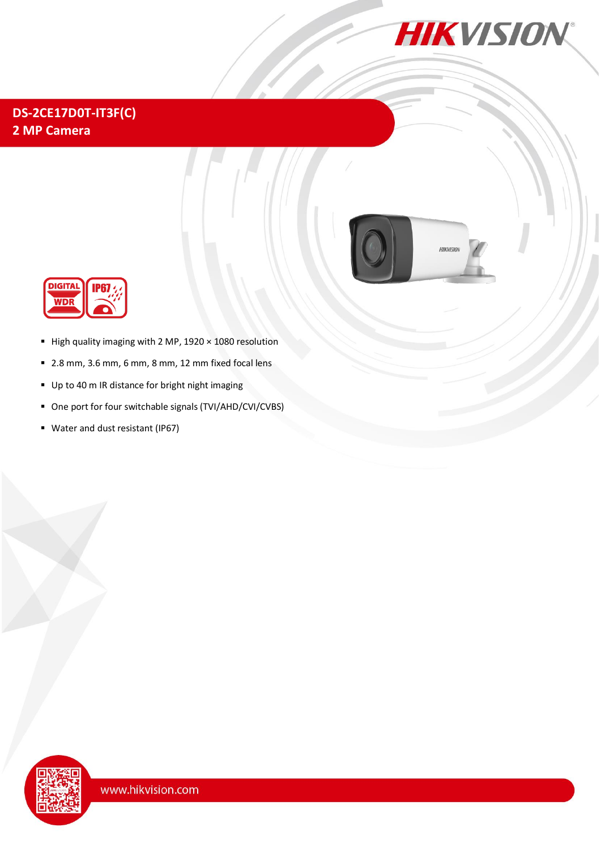

## **DS-2CE17D0T-IT3F(C) 2 MP Camera**





- High quality imaging with 2 MP,  $1920 \times 1080$  resolution
- 2.8 mm, 3.6 mm, 6 mm, 8 mm, 12 mm fixed focal lens
- Up to 40 m IR distance for bright night imaging
- One port for four switchable signals (TVI/AHD/CVI/CVBS)
- Water and dust resistant (IP67)

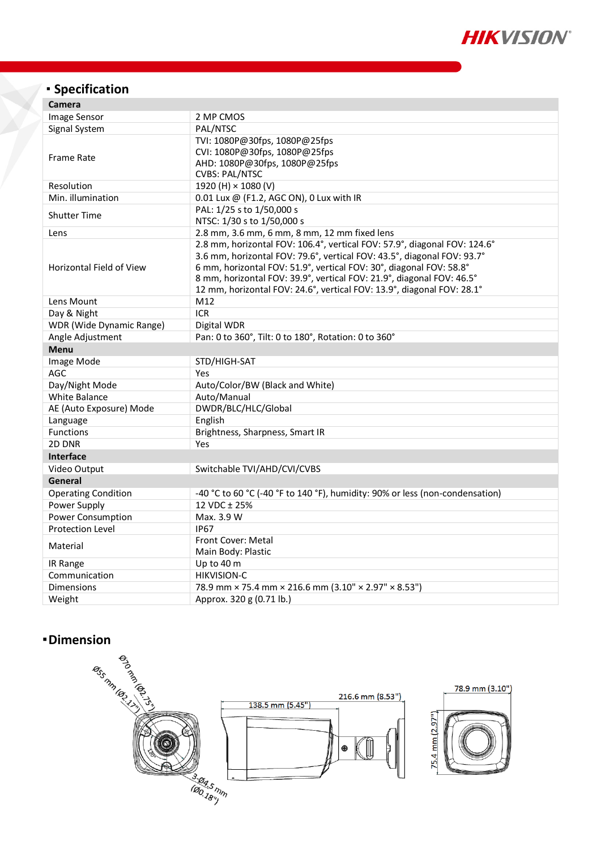

# **Specification**

| Camera                          |                                                                                                                                                                                                                                                                                                                                                                                |
|---------------------------------|--------------------------------------------------------------------------------------------------------------------------------------------------------------------------------------------------------------------------------------------------------------------------------------------------------------------------------------------------------------------------------|
| Image Sensor                    | 2 MP CMOS                                                                                                                                                                                                                                                                                                                                                                      |
| Signal System                   | PAL/NTSC                                                                                                                                                                                                                                                                                                                                                                       |
| <b>Frame Rate</b>               | TVI: 1080P@30fps, 1080P@25fps<br>CVI: 1080P@30fps, 1080P@25fps<br>AHD: 1080P@30fps, 1080P@25fps<br><b>CVBS: PAL/NTSC</b>                                                                                                                                                                                                                                                       |
| Resolution                      | 1920 (H) × 1080 (V)                                                                                                                                                                                                                                                                                                                                                            |
| Min. illumination               | 0.01 Lux @ (F1.2, AGC ON), 0 Lux with IR                                                                                                                                                                                                                                                                                                                                       |
| <b>Shutter Time</b>             | PAL: 1/25 s to 1/50,000 s<br>NTSC: 1/30 s to 1/50,000 s                                                                                                                                                                                                                                                                                                                        |
| Lens                            | 2.8 mm, 3.6 mm, 6 mm, 8 mm, 12 mm fixed lens                                                                                                                                                                                                                                                                                                                                   |
| <b>Horizontal Field of View</b> | 2.8 mm, horizontal FOV: 106.4°, vertical FOV: 57.9°, diagonal FOV: 124.6°<br>3.6 mm, horizontal FOV: 79.6°, vertical FOV: 43.5°, diagonal FOV: 93.7°<br>6 mm, horizontal FOV: 51.9°, vertical FOV: 30°, diagonal FOV: 58.8°<br>8 mm, horizontal FOV: 39.9°, vertical FOV: 21.9°, diagonal FOV: 46.5°<br>12 mm, horizontal FOV: 24.6°, vertical FOV: 13.9°, diagonal FOV: 28.1° |
| Lens Mount                      | M12                                                                                                                                                                                                                                                                                                                                                                            |
| Day & Night                     | <b>ICR</b>                                                                                                                                                                                                                                                                                                                                                                     |
| <b>WDR</b> (Wide Dynamic Range) | Digital WDR                                                                                                                                                                                                                                                                                                                                                                    |
| Angle Adjustment                | Pan: 0 to 360°, Tilt: 0 to 180°, Rotation: 0 to 360°                                                                                                                                                                                                                                                                                                                           |
| <b>Menu</b>                     |                                                                                                                                                                                                                                                                                                                                                                                |
| Image Mode                      | STD/HIGH-SAT                                                                                                                                                                                                                                                                                                                                                                   |
| AGC                             | Yes                                                                                                                                                                                                                                                                                                                                                                            |
| Day/Night Mode                  | Auto/Color/BW (Black and White)                                                                                                                                                                                                                                                                                                                                                |
| White Balance                   | Auto/Manual                                                                                                                                                                                                                                                                                                                                                                    |
| AE (Auto Exposure) Mode         | DWDR/BLC/HLC/Global                                                                                                                                                                                                                                                                                                                                                            |
| Language                        | English                                                                                                                                                                                                                                                                                                                                                                        |
| <b>Functions</b>                | Brightness, Sharpness, Smart IR                                                                                                                                                                                                                                                                                                                                                |
| 2D DNR                          | Yes                                                                                                                                                                                                                                                                                                                                                                            |
| <b>Interface</b>                |                                                                                                                                                                                                                                                                                                                                                                                |
| Video Output                    | Switchable TVI/AHD/CVI/CVBS                                                                                                                                                                                                                                                                                                                                                    |
| General                         |                                                                                                                                                                                                                                                                                                                                                                                |
| <b>Operating Condition</b>      | -40 °C to 60 °C (-40 °F to 140 °F), humidity: 90% or less (non-condensation)                                                                                                                                                                                                                                                                                                   |
| Power Supply                    | 12 VDC ± 25%                                                                                                                                                                                                                                                                                                                                                                   |
| <b>Power Consumption</b>        | Max. 3.9 W                                                                                                                                                                                                                                                                                                                                                                     |
| <b>Protection Level</b>         | <b>IP67</b>                                                                                                                                                                                                                                                                                                                                                                    |
| Material                        | <b>Front Cover: Metal</b><br>Main Body: Plastic                                                                                                                                                                                                                                                                                                                                |
| IR Range                        | Up to 40 m                                                                                                                                                                                                                                                                                                                                                                     |
| Communication                   | <b>HIKVISION-C</b>                                                                                                                                                                                                                                                                                                                                                             |
| <b>Dimensions</b>               | 78.9 mm × 75.4 mm × 216.6 mm (3.10" × 2.97" × 8.53")                                                                                                                                                                                                                                                                                                                           |
| Weight                          | Approx. 320 g (0.71 lb.)                                                                                                                                                                                                                                                                                                                                                       |